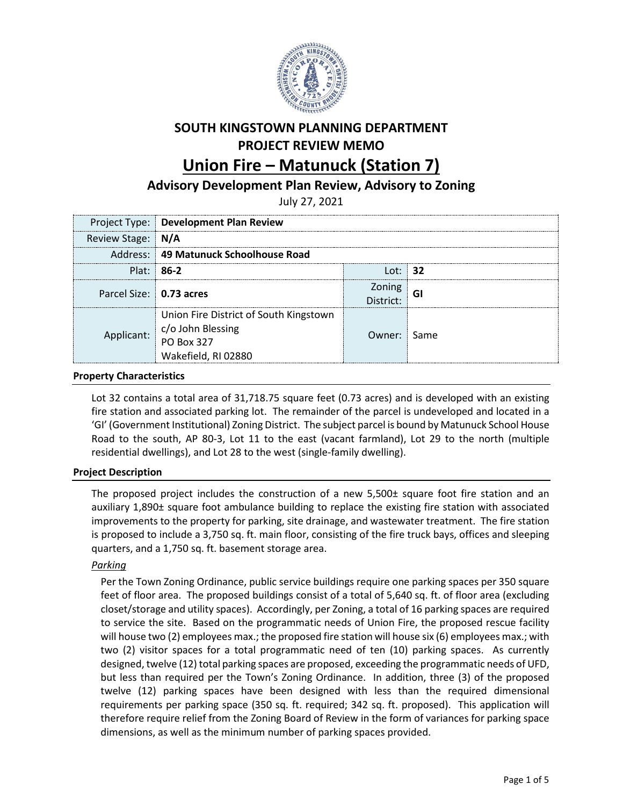

# **SOUTH KINGSTOWN PLANNING DEPARTMENT PROJECT REVIEW MEMO**

# **Union Fire – Matunuck (Station 7)**

# **Advisory Development Plan Review, Advisory to Zoning**

July 27, 2021

|                         | Project Type: Development Plan Review                                                            |                                   |  |
|-------------------------|--------------------------------------------------------------------------------------------------|-----------------------------------|--|
| Review Stage: N/A       |                                                                                                  |                                   |  |
|                         | Address: 49 Matunuck Schoolhouse Road                                                            |                                   |  |
|                         | $Plat: 86-2$                                                                                     | l ot:   <b>32</b>                 |  |
| Parcel Size: 0.73 acres |                                                                                                  | $\frac{Zoning}{\text{strict}}$ GI |  |
| plicant:                | Union Fire District of South Kingstown<br>c/o John Blessing<br>PO Box 327<br>Wakefield, RI 02880 | Owner: Same                       |  |

## **Property Characteristics**

Lot 32 contains a total area of 31,718.75 square feet (0.73 acres) and is developed with an existing fire station and associated parking lot. The remainder of the parcel is undeveloped and located in a 'GI' (Government Institutional) Zoning District. The subject parcel is bound by Matunuck School House Road to the south, AP 80-3, Lot 11 to the east (vacant farmland), Lot 29 to the north (multiple residential dwellings), and Lot 28 to the west (single-family dwelling).

# **Project Description**

The proposed project includes the construction of a new 5,500± square foot fire station and an auxiliary 1,890± square foot ambulance building to replace the existing fire station with associated improvements to the property for parking, site drainage, and wastewater treatment. The fire station is proposed to include a 3,750 sq. ft. main floor, consisting of the fire truck bays, offices and sleeping quarters, and a 1,750 sq. ft. basement storage area.

### *Parking*

Per the Town Zoning Ordinance, public service buildings require one parking spaces per 350 square feet of floor area. The proposed buildings consist of a total of 5,640 sq. ft. of floor area (excluding closet/storage and utility spaces). Accordingly, per Zoning, a total of 16 parking spaces are required to service the site. Based on the programmatic needs of Union Fire, the proposed rescue facility will house two (2) employees max.; the proposed fire station will house six (6) employees max.; with two (2) visitor spaces for a total programmatic need of ten (10) parking spaces. As currently designed, twelve (12) total parking spaces are proposed, exceeding the programmatic needs of UFD, but less than required per the Town's Zoning Ordinance. In addition, three (3) of the proposed twelve (12) parking spaces have been designed with less than the required dimensional requirements per parking space (350 sq. ft. required; 342 sq. ft. proposed). This application will therefore require relief from the Zoning Board of Review in the form of variances for parking space dimensions, as well as the minimum number of parking spaces provided.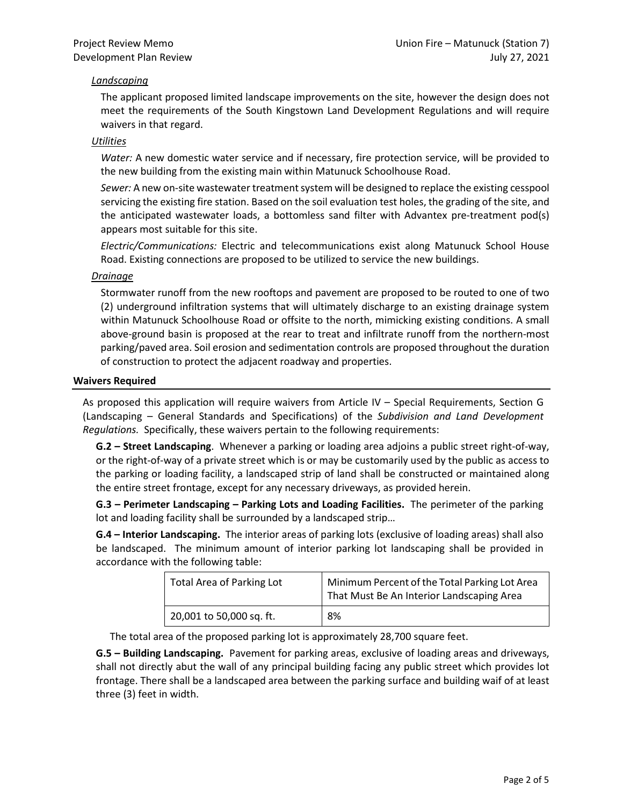## *Landscaping*

The applicant proposed limited landscape improvements on the site, however the design does not meet the requirements of the South Kingstown Land Development Regulations and will require waivers in that regard.

#### *Utilities*

*Water:* A new domestic water service and if necessary, fire protection service, will be provided to the new building from the existing main within Matunuck Schoolhouse Road.

*Sewer:* A new on-site wastewater treatment system will be designed to replace the existing cesspool servicing the existing fire station. Based on the soil evaluation test holes, the grading of the site, and the anticipated wastewater loads, a bottomless sand filter with Advantex pre-treatment pod(s) appears most suitable for this site.

*Electric/Communications:* Electric and telecommunications exist along Matunuck School House Road. Existing connections are proposed to be utilized to service the new buildings.

#### *Drainage*

Stormwater runoff from the new rooftops and pavement are proposed to be routed to one of two (2) underground infiltration systems that will ultimately discharge to an existing drainage system within Matunuck Schoolhouse Road or offsite to the north, mimicking existing conditions. A small above-ground basin is proposed at the rear to treat and infiltrate runoff from the northern-most parking/paved area. Soil erosion and sedimentation controls are proposed throughout the duration of construction to protect the adjacent roadway and properties.

#### **Waivers Required**

As proposed this application will require waivers from Article IV – Special Requirements, Section G (Landscaping – General Standards and Specifications) of the *Subdivision and Land Development Regulations.* Specifically, these waivers pertain to the following requirements:

**G.2 – Street Landscaping**. Whenever a parking or loading area adjoins a public street right-of-way, or the right-of-way of a private street which is or may be customarily used by the public as access to the parking or loading facility, a landscaped strip of land shall be constructed or maintained along the entire street frontage, except for any necessary driveways, as provided herein.

**G.3 – Perimeter Landscaping – Parking Lots and Loading Facilities.** The perimeter of the parking lot and loading facility shall be surrounded by a landscaped strip…

**G.4 – Interior Landscaping.** The interior areas of parking lots (exclusive of loading areas) shall also be landscaped. The minimum amount of interior parking lot landscaping shall be provided in accordance with the following table:

| Total Area of Parking Lot | Minimum Percent of the Total Parking Lot Area<br>That Must Be An Interior Landscaping Area |
|---------------------------|--------------------------------------------------------------------------------------------|
| 20,001 to 50,000 sq. ft.  | 8%                                                                                         |

The total area of the proposed parking lot is approximately 28,700 square feet.

**G.5 – Building Landscaping.** Pavement for parking areas, exclusive of loading areas and driveways, shall not directly abut the wall of any principal building facing any public street which provides lot frontage. There shall be a landscaped area between the parking surface and building waif of at least three (3) feet in width.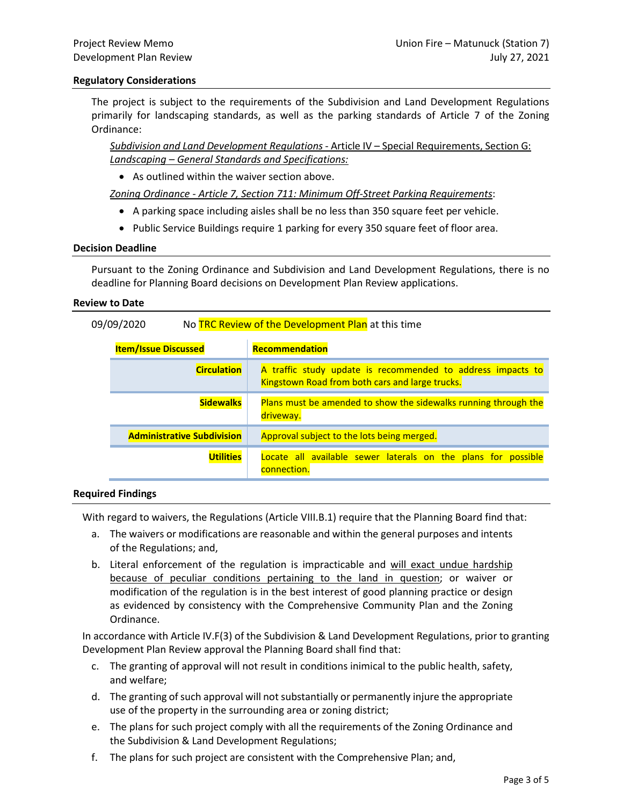#### **Regulatory Considerations**

The project is subject to the requirements of the Subdivision and Land Development Regulations primarily for landscaping standards, as well as the parking standards of Article 7 of the Zoning Ordinance:

*Subdivision and Land Development Regulations* - Article IV – Special Requirements, Section G: *Landscaping – General Standards and Specifications:*

• As outlined within the waiver section above.

*Zoning Ordinance - Article 7, Section 711: Minimum Off-Street Parking Requirements*:

- A parking space including aisles shall be no less than 350 square feet per vehicle.
- Public Service Buildings require 1 parking for every 350 square feet of floor area.

#### **Decision Deadline**

Pursuant to the Zoning Ordinance and Subdivision and Land Development Regulations, there is no deadline for Planning Board decisions on Development Plan Review applications.

#### **Review to Date**

| No TRC Review of the Development Plan at this time<br>09/09/2020 |                                   |                                                                                                                |  |
|------------------------------------------------------------------|-----------------------------------|----------------------------------------------------------------------------------------------------------------|--|
| <b>Item/Issue Discussed</b>                                      |                                   | <b>Recommendation</b>                                                                                          |  |
|                                                                  | <b>Circulation</b>                | A traffic study update is recommended to address impacts to<br>Kingstown Road from both cars and large trucks. |  |
|                                                                  | <b>Sidewalks</b>                  | Plans must be amended to show the sidewalks running through the<br>driveway.                                   |  |
|                                                                  | <b>Administrative Subdivision</b> | Approval subject to the lots being merged.                                                                     |  |
|                                                                  | <b>Utilities</b>                  | Locate all available sewer laterals on the plans for possible<br>connection.                                   |  |

#### **Required Findings**

With regard to waivers, the Regulations (Article VIII.B.1) require that the Planning Board find that:

- a. The waivers or modifications are reasonable and within the general purposes and intents of the Regulations; and,
- b. Literal enforcement of the regulation is impracticable and will exact undue hardship because of peculiar conditions pertaining to the land in question; or waiver or modification of the regulation is in the best interest of good planning practice or design as evidenced by consistency with the Comprehensive Community Plan and the Zoning Ordinance.

In accordance with Article IV.F(3) of the Subdivision & Land Development Regulations, prior to granting Development Plan Review approval the Planning Board shall find that:

- c. The granting of approval will not result in conditions inimical to the public health, safety, and welfare;
- d. The granting of such approval will not substantially or permanently injure the appropriate use of the property in the surrounding area or zoning district;
- e. The plans for such project comply with all the requirements of the Zoning Ordinance and the Subdivision & Land Development Regulations;
- f. The plans for such project are consistent with the Comprehensive Plan; and,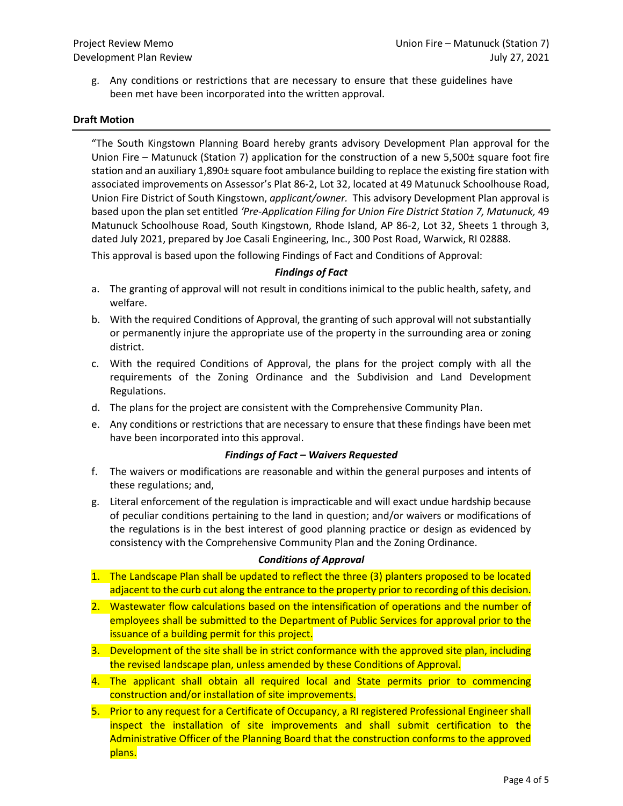g. Any conditions or restrictions that are necessary to ensure that these guidelines have been met have been incorporated into the written approval.

#### **Draft Motion**

"The South Kingstown Planning Board hereby grants advisory Development Plan approval for the Union Fire – Matunuck (Station 7) application for the construction of a new 5,500± square foot fire station and an auxiliary 1,890± square foot ambulance building to replace the existing fire station with associated improvements on Assessor's Plat 86-2, Lot 32, located at 49 Matunuck Schoolhouse Road, Union Fire District of South Kingstown, *applicant/owner.* This advisory Development Plan approval is based upon the plan set entitled *'Pre-Application Filing for Union Fire District Station 7, Matunuck,* 49 Matunuck Schoolhouse Road, South Kingstown, Rhode Island, AP 86-2, Lot 32, Sheets 1 through 3, dated July 2021, prepared by Joe Casali Engineering, Inc., 300 Post Road, Warwick, RI 02888.

This approval is based upon the following Findings of Fact and Conditions of Approval:

#### *Findings of Fact*

- a. The granting of approval will not result in conditions inimical to the public health, safety, and welfare.
- b. With the required Conditions of Approval, the granting of such approval will not substantially or permanently injure the appropriate use of the property in the surrounding area or zoning district.
- c. With the required Conditions of Approval, the plans for the project comply with all the requirements of the Zoning Ordinance and the Subdivision and Land Development Regulations.
- d. The plans for the project are consistent with the Comprehensive Community Plan.
- e. Any conditions or restrictions that are necessary to ensure that these findings have been met have been incorporated into this approval.

#### *Findings of Fact – Waivers Requested*

- f. The waivers or modifications are reasonable and within the general purposes and intents of these regulations; and,
- g. Literal enforcement of the regulation is impracticable and will exact undue hardship because of peculiar conditions pertaining to the land in question; and/or waivers or modifications of the regulations is in the best interest of good planning practice or design as evidenced by consistency with the Comprehensive Community Plan and the Zoning Ordinance.

#### *Conditions of Approval*

- 1. The Landscape Plan shall be updated to reflect the three (3) planters proposed to be located adjacent to the curb cut along the entrance to the property prior to recording of this decision.
- 2. Wastewater flow calculations based on the intensification of operations and the number of employees shall be submitted to the Department of Public Services for approval prior to the issuance of a building permit for this project.
- 3. Development of the site shall be in strict conformance with the approved site plan, including the revised landscape plan, unless amended by these Conditions of Approval.
- 4. The applicant shall obtain all required local and State permits prior to commencing construction and/or installation of site improvements.
- 5. Prior to any request for a Certificate of Occupancy, a RI registered Professional Engineer shall inspect the installation of site improvements and shall submit certification to the Administrative Officer of the Planning Board that the construction conforms to the approved plans.